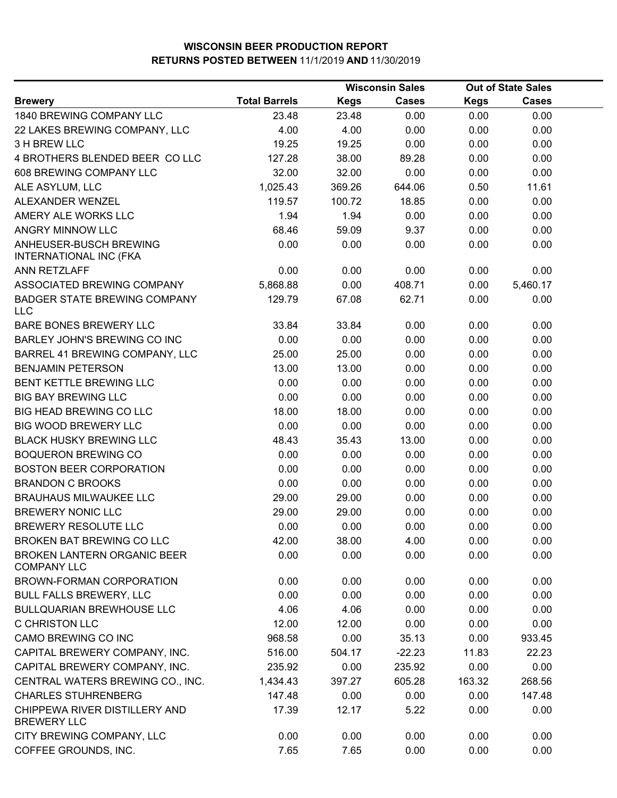| <b>Total Barrels</b> | <b>Kegs</b> | <b>Cases</b> | <b>Kegs</b>            | <b>Cases</b> |                                   |
|----------------------|-------------|--------------|------------------------|--------------|-----------------------------------|
| 23.48                | 23.48       | 0.00         | 0.00                   | 0.00         |                                   |
| 4.00                 | 4.00        | 0.00         | 0.00                   | 0.00         |                                   |
| 19.25                | 19.25       | 0.00         | 0.00                   | 0.00         |                                   |
| 127.28               | 38.00       | 89.28        | 0.00                   | 0.00         |                                   |
| 32.00                | 32.00       | 0.00         | 0.00                   | 0.00         |                                   |
| 1,025.43             | 369.26      | 644.06       | 0.50                   | 11.61        |                                   |
| 119.57               | 100.72      | 18.85        | 0.00                   | 0.00         |                                   |
| 1.94                 | 1.94        | 0.00         | 0.00                   | 0.00         |                                   |
| 68.46                | 59.09       | 9.37         | 0.00                   | 0.00         |                                   |
| 0.00                 | 0.00        | 0.00         | 0.00                   | 0.00         |                                   |
| 0.00                 | 0.00        | 0.00         | 0.00                   | 0.00         |                                   |
| 5,868.88             | 0.00        | 408.71       | 0.00                   | 5,460.17     |                                   |
| 129.79               | 67.08       | 62.71        | 0.00                   | 0.00         |                                   |
| 33.84                | 33.84       | 0.00         | 0.00                   | 0.00         |                                   |
| 0.00                 | 0.00        | 0.00         | 0.00                   | 0.00         |                                   |
| 25.00                | 25.00       | 0.00         | 0.00                   | 0.00         |                                   |
| 13.00                | 13.00       | 0.00         | 0.00                   | 0.00         |                                   |
| 0.00                 | 0.00        | 0.00         | 0.00                   | 0.00         |                                   |
| 0.00                 | 0.00        | 0.00         | 0.00                   | 0.00         |                                   |
| 18.00                | 18.00       | 0.00         | 0.00                   | 0.00         |                                   |
| 0.00                 | 0.00        | 0.00         | 0.00                   | 0.00         |                                   |
| 48.43                | 35.43       | 13.00        | 0.00                   | 0.00         |                                   |
| 0.00                 | 0.00        | 0.00         | 0.00                   | 0.00         |                                   |
| 0.00                 | 0.00        | 0.00         | 0.00                   | 0.00         |                                   |
| 0.00                 | 0.00        | 0.00         | 0.00                   | 0.00         |                                   |
| 29.00                | 29.00       | 0.00         | 0.00                   | 0.00         |                                   |
| 29.00                | 29.00       | 0.00         | 0.00                   | 0.00         |                                   |
| 0.00                 | 0.00        | 0.00         | 0.00                   | 0.00         |                                   |
| 42.00                | 38.00       | 4.00         | 0.00                   | 0.00         |                                   |
| 0.00                 | 0.00        | 0.00         | 0.00                   | 0.00         |                                   |
| 0.00                 | 0.00        | 0.00         | 0.00                   | 0.00         |                                   |
| 0.00                 | 0.00        | 0.00         | 0.00                   | 0.00         |                                   |
| 4.06                 | 4.06        | 0.00         | 0.00                   | 0.00         |                                   |
| 12.00                | 12.00       | 0.00         | 0.00                   | 0.00         |                                   |
| 968.58               | 0.00        | 35.13        | 0.00                   | 933.45       |                                   |
| 516.00               | 504.17      | $-22.23$     | 11.83                  | 22.23        |                                   |
|                      | 0.00        | 235.92       | 0.00                   |              |                                   |
| 1,434.43             | 397.27      | 605.28       | 163.32                 | 268.56       |                                   |
| 147.48               | 0.00        | 0.00         | 0.00                   | 147.48       |                                   |
| 17.39                | 12.17       | 5.22         | 0.00                   | 0.00         |                                   |
| 0.00                 | 0.00        | 0.00         | 0.00                   | 0.00         |                                   |
| 7.65                 | 7.65        | 0.00         | 0.00                   | 0.00         |                                   |
|                      | 235.92      |              | <b>Wisconsin Sales</b> |              | <b>Out of State Sales</b><br>0.00 |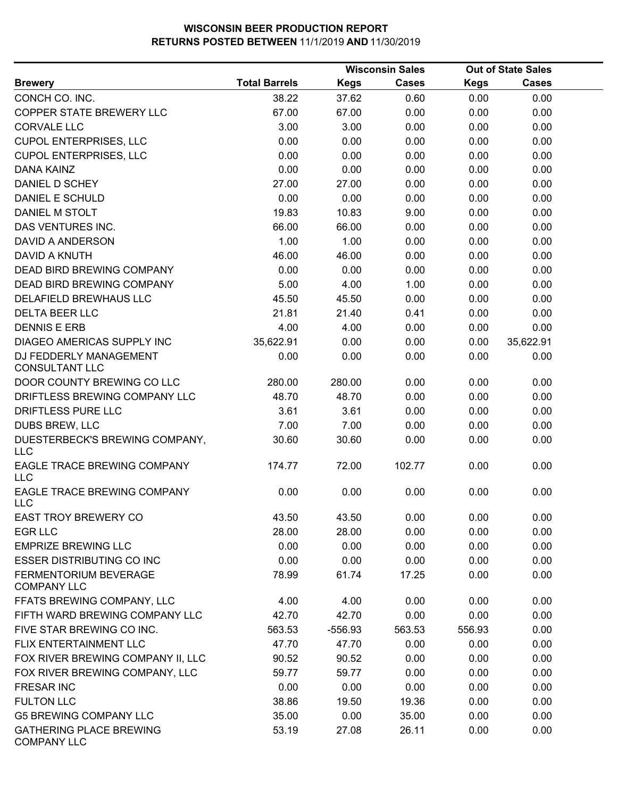|                                                      | <b>Wisconsin Sales</b> |             |              | <b>Out of State Sales</b> |              |  |
|------------------------------------------------------|------------------------|-------------|--------------|---------------------------|--------------|--|
| <b>Brewery</b>                                       | <b>Total Barrels</b>   | <b>Kegs</b> | <b>Cases</b> | <b>Kegs</b>               | <b>Cases</b> |  |
| CONCH CO. INC.                                       | 38.22                  | 37.62       | 0.60         | 0.00                      | 0.00         |  |
| COPPER STATE BREWERY LLC                             | 67.00                  | 67.00       | 0.00         | 0.00                      | 0.00         |  |
| <b>CORVALE LLC</b>                                   | 3.00                   | 3.00        | 0.00         | 0.00                      | 0.00         |  |
| <b>CUPOL ENTERPRISES, LLC</b>                        | 0.00                   | 0.00        | 0.00         | 0.00                      | 0.00         |  |
| <b>CUPOL ENTERPRISES, LLC</b>                        | 0.00                   | 0.00        | 0.00         | 0.00                      | 0.00         |  |
| <b>DANA KAINZ</b>                                    | 0.00                   | 0.00        | 0.00         | 0.00                      | 0.00         |  |
| DANIEL D SCHEY                                       | 27.00                  | 27.00       | 0.00         | 0.00                      | 0.00         |  |
| <b>DANIEL E SCHULD</b>                               | 0.00                   | 0.00        | 0.00         | 0.00                      | 0.00         |  |
| DANIEL M STOLT                                       | 19.83                  | 10.83       | 9.00         | 0.00                      | 0.00         |  |
| DAS VENTURES INC.                                    | 66.00                  | 66.00       | 0.00         | 0.00                      | 0.00         |  |
| DAVID A ANDERSON                                     | 1.00                   | 1.00        | 0.00         | 0.00                      | 0.00         |  |
| DAVID A KNUTH                                        | 46.00                  | 46.00       | 0.00         | 0.00                      | 0.00         |  |
| <b>DEAD BIRD BREWING COMPANY</b>                     | 0.00                   | 0.00        | 0.00         | 0.00                      | 0.00         |  |
| DEAD BIRD BREWING COMPANY                            | 5.00                   | 4.00        | 1.00         | 0.00                      | 0.00         |  |
| DELAFIELD BREWHAUS LLC                               | 45.50                  | 45.50       | 0.00         | 0.00                      | 0.00         |  |
| <b>DELTA BEER LLC</b>                                | 21.81                  | 21.40       | 0.41         | 0.00                      | 0.00         |  |
| <b>DENNIS E ERB</b>                                  | 4.00                   | 4.00        | 0.00         | 0.00                      | 0.00         |  |
| DIAGEO AMERICAS SUPPLY INC                           | 35,622.91              | 0.00        | 0.00         | 0.00                      | 35,622.91    |  |
| DJ FEDDERLY MANAGEMENT<br><b>CONSULTANT LLC</b>      | 0.00                   | 0.00        | 0.00         | 0.00                      | 0.00         |  |
| DOOR COUNTY BREWING CO LLC                           | 280.00                 | 280.00      | 0.00         | 0.00                      | 0.00         |  |
| DRIFTLESS BREWING COMPANY LLC                        | 48.70                  | 48.70       | 0.00         | 0.00                      | 0.00         |  |
| DRIFTLESS PURE LLC                                   | 3.61                   | 3.61        | 0.00         | 0.00                      | 0.00         |  |
| DUBS BREW, LLC                                       | 7.00                   | 7.00        | 0.00         | 0.00                      | 0.00         |  |
| DUESTERBECK'S BREWING COMPANY,<br><b>LLC</b>         | 30.60                  | 30.60       | 0.00         | 0.00                      | 0.00         |  |
| EAGLE TRACE BREWING COMPANY<br><b>LLC</b>            | 174.77                 | 72.00       | 102.77       | 0.00                      | 0.00         |  |
| EAGLE TRACE BREWING COMPANY<br>LLC                   | 0.00                   | 0.00        | 0.00         | 0.00                      | 0.00         |  |
| <b>EAST TROY BREWERY CO</b>                          | 43.50                  | 43.50       | 0.00         | 0.00                      | 0.00         |  |
| <b>EGR LLC</b>                                       | 28.00                  | 28.00       | 0.00         | 0.00                      | 0.00         |  |
| <b>EMPRIZE BREWING LLC</b>                           | 0.00                   | 0.00        | 0.00         | 0.00                      | 0.00         |  |
| <b>ESSER DISTRIBUTING CO INC</b>                     | 0.00                   | 0.00        | 0.00         | 0.00                      | 0.00         |  |
| <b>FERMENTORIUM BEVERAGE</b><br><b>COMPANY LLC</b>   | 78.99                  | 61.74       | 17.25        | 0.00                      | 0.00         |  |
| FFATS BREWING COMPANY, LLC                           | 4.00                   | 4.00        | 0.00         | 0.00                      | 0.00         |  |
| FIFTH WARD BREWING COMPANY LLC                       | 42.70                  | 42.70       | 0.00         | 0.00                      | 0.00         |  |
| FIVE STAR BREWING CO INC.                            | 563.53                 | $-556.93$   | 563.53       | 556.93                    | 0.00         |  |
| FLIX ENTERTAINMENT LLC                               | 47.70                  | 47.70       | 0.00         | 0.00                      | 0.00         |  |
| FOX RIVER BREWING COMPANY II, LLC                    | 90.52                  | 90.52       | 0.00         | 0.00                      | 0.00         |  |
| FOX RIVER BREWING COMPANY, LLC                       | 59.77                  | 59.77       | 0.00         | 0.00                      | 0.00         |  |
| <b>FRESAR INC</b>                                    | 0.00                   | 0.00        | 0.00         | 0.00                      | 0.00         |  |
| <b>FULTON LLC</b>                                    | 38.86                  | 19.50       | 19.36        | 0.00                      | 0.00         |  |
| <b>G5 BREWING COMPANY LLC</b>                        | 35.00                  | 0.00        | 35.00        | 0.00                      | 0.00         |  |
| <b>GATHERING PLACE BREWING</b><br><b>COMPANY LLC</b> | 53.19                  | 27.08       | 26.11        | 0.00                      | 0.00         |  |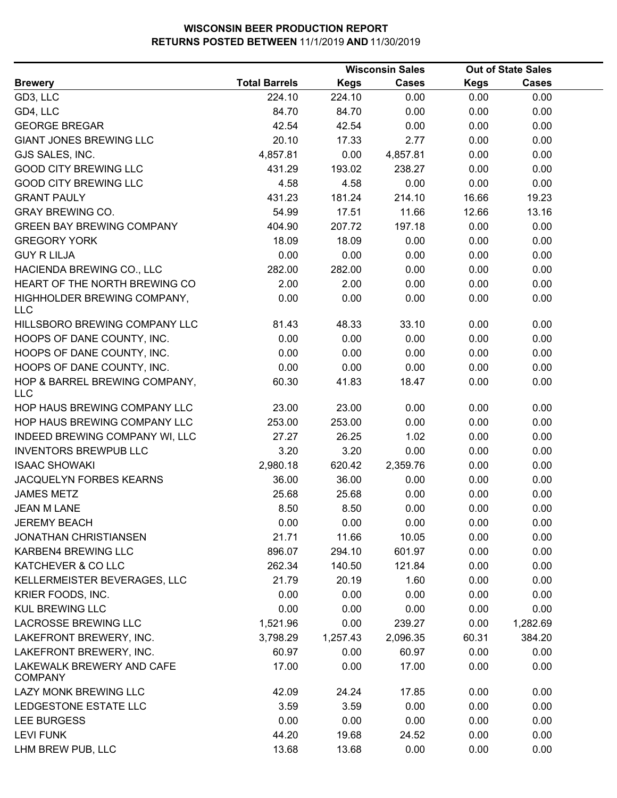| <b>Total Barrels</b><br><b>Kegs</b><br><b>Cases</b><br><b>Kegs</b><br><b>Cases</b><br><b>Brewery</b><br>0.00<br>0.00<br>GD3, LLC<br>224.10<br>224.10<br>0.00<br>84.70<br>0.00<br>0.00<br>0.00<br>GD4, LLC<br>84.70<br><b>GEORGE BREGAR</b><br>42.54<br>42.54<br>0.00<br>0.00<br>0.00<br><b>GIANT JONES BREWING LLC</b><br>20.10<br>2.77<br>0.00<br>0.00<br>17.33 |  |
|------------------------------------------------------------------------------------------------------------------------------------------------------------------------------------------------------------------------------------------------------------------------------------------------------------------------------------------------------------------|--|
|                                                                                                                                                                                                                                                                                                                                                                  |  |
|                                                                                                                                                                                                                                                                                                                                                                  |  |
|                                                                                                                                                                                                                                                                                                                                                                  |  |
|                                                                                                                                                                                                                                                                                                                                                                  |  |
|                                                                                                                                                                                                                                                                                                                                                                  |  |
| GJS SALES, INC.<br>4,857.81<br>0.00<br>0.00<br>0.00<br>4,857.81                                                                                                                                                                                                                                                                                                  |  |
| <b>GOOD CITY BREWING LLC</b><br>193.02<br>238.27<br>0.00<br>0.00<br>431.29                                                                                                                                                                                                                                                                                       |  |
| <b>GOOD CITY BREWING LLC</b><br>4.58<br>4.58<br>0.00<br>0.00<br>0.00                                                                                                                                                                                                                                                                                             |  |
| <b>GRANT PAULY</b><br>214.10<br>16.66<br>19.23<br>431.23<br>181.24                                                                                                                                                                                                                                                                                               |  |
| <b>GRAY BREWING CO.</b><br>54.99<br>11.66<br>12.66<br>13.16<br>17.51                                                                                                                                                                                                                                                                                             |  |
| <b>GREEN BAY BREWING COMPANY</b><br>404.90<br>197.18<br>0.00<br>0.00<br>207.72                                                                                                                                                                                                                                                                                   |  |
| 0.00<br><b>GREGORY YORK</b><br>18.09<br>18.09<br>0.00<br>0.00                                                                                                                                                                                                                                                                                                    |  |
| <b>GUY R LILJA</b><br>0.00<br>0.00<br>0.00<br>0.00<br>0.00                                                                                                                                                                                                                                                                                                       |  |
| HACIENDA BREWING CO., LLC<br>282.00<br>282.00<br>0.00<br>0.00<br>0.00                                                                                                                                                                                                                                                                                            |  |
| HEART OF THE NORTH BREWING CO<br>2.00<br>2.00<br>0.00<br>0.00<br>0.00                                                                                                                                                                                                                                                                                            |  |
| HIGHHOLDER BREWING COMPANY,<br>0.00<br>0.00<br>0.00<br>0.00<br>0.00                                                                                                                                                                                                                                                                                              |  |
| <b>LLC</b>                                                                                                                                                                                                                                                                                                                                                       |  |
| HILLSBORO BREWING COMPANY LLC<br>81.43<br>48.33<br>33.10<br>0.00<br>0.00                                                                                                                                                                                                                                                                                         |  |
| 0.00<br>0.00<br>0.00<br>0.00<br>0.00<br>HOOPS OF DANE COUNTY, INC.                                                                                                                                                                                                                                                                                               |  |
| HOOPS OF DANE COUNTY, INC.<br>0.00<br>0.00<br>0.00<br>0.00<br>0.00                                                                                                                                                                                                                                                                                               |  |
| HOOPS OF DANE COUNTY, INC.<br>0.00<br>0.00<br>0.00<br>0.00<br>0.00                                                                                                                                                                                                                                                                                               |  |
| HOP & BARREL BREWING COMPANY,<br>60.30<br>41.83<br>18.47<br>0.00<br>0.00                                                                                                                                                                                                                                                                                         |  |
| <b>LLC</b>                                                                                                                                                                                                                                                                                                                                                       |  |
| HOP HAUS BREWING COMPANY LLC<br>23.00<br>23.00<br>0.00<br>0.00<br>0.00                                                                                                                                                                                                                                                                                           |  |
| HOP HAUS BREWING COMPANY LLC<br>253.00<br>253.00<br>0.00<br>0.00<br>0.00                                                                                                                                                                                                                                                                                         |  |
| 27.27<br>26.25<br>0.00<br>0.00<br>INDEED BREWING COMPANY WI, LLC<br>1.02                                                                                                                                                                                                                                                                                         |  |
| <b>INVENTORS BREWPUB LLC</b><br>3.20<br>3.20<br>0.00<br>0.00<br>0.00                                                                                                                                                                                                                                                                                             |  |
| <b>ISAAC SHOWAKI</b><br>2,980.18<br>620.42<br>2,359.76<br>0.00<br>0.00                                                                                                                                                                                                                                                                                           |  |
| JACQUELYN FORBES KEARNS<br>36.00<br>36.00<br>0.00<br>0.00<br>0.00                                                                                                                                                                                                                                                                                                |  |
| <b>JAMES METZ</b><br>0.00<br>0.00<br>0.00<br>25.68<br>25.68                                                                                                                                                                                                                                                                                                      |  |
| <b>JEAN M LANE</b><br>8.50<br>8.50<br>0.00<br>0.00<br>0.00                                                                                                                                                                                                                                                                                                       |  |
| 0.00<br><b>JEREMY BEACH</b><br>0.00<br>0.00<br>0.00<br>0.00                                                                                                                                                                                                                                                                                                      |  |
| 21.71<br>0.00<br>0.00<br><b>JONATHAN CHRISTIANSEN</b><br>11.66<br>10.05                                                                                                                                                                                                                                                                                          |  |
| 0.00<br>KARBEN4 BREWING LLC<br>896.07<br>294.10<br>601.97<br>0.00                                                                                                                                                                                                                                                                                                |  |
| KATCHEVER & CO LLC<br>262.34<br>121.84<br>0.00<br>0.00<br>140.50                                                                                                                                                                                                                                                                                                 |  |
| KELLERMEISTER BEVERAGES, LLC<br>21.79<br>20.19<br>1.60<br>0.00<br>0.00                                                                                                                                                                                                                                                                                           |  |
| KRIER FOODS, INC.<br>0.00<br>0.00<br>0.00<br>0.00<br>0.00                                                                                                                                                                                                                                                                                                        |  |
| <b>KUL BREWING LLC</b><br>0.00<br>0.00<br>0.00<br>0.00<br>0.00                                                                                                                                                                                                                                                                                                   |  |
| <b>LACROSSE BREWING LLC</b><br>1,521.96<br>0.00<br>239.27<br>0.00<br>1,282.69                                                                                                                                                                                                                                                                                    |  |
| LAKEFRONT BREWERY, INC.<br>3,798.29<br>1,257.43<br>2,096.35<br>60.31<br>384.20                                                                                                                                                                                                                                                                                   |  |
| LAKEFRONT BREWERY, INC.<br>60.97<br>0.00<br>60.97<br>0.00<br>0.00                                                                                                                                                                                                                                                                                                |  |
| LAKEWALK BREWERY AND CAFE<br>17.00<br>0.00<br>17.00<br>0.00<br>0.00                                                                                                                                                                                                                                                                                              |  |
| <b>COMPANY</b>                                                                                                                                                                                                                                                                                                                                                   |  |
| LAZY MONK BREWING LLC<br>42.09<br>24.24<br>17.85<br>0.00<br>0.00                                                                                                                                                                                                                                                                                                 |  |
| 0.00<br>0.00<br>0.00<br>LEDGESTONE ESTATE LLC<br>3.59<br>3.59                                                                                                                                                                                                                                                                                                    |  |
| <b>LEE BURGESS</b><br>0.00<br>0.00<br>0.00<br>0.00<br>0.00                                                                                                                                                                                                                                                                                                       |  |
| 44.20<br><b>LEVI FUNK</b><br>19.68<br>24.52<br>0.00<br>0.00                                                                                                                                                                                                                                                                                                      |  |
| LHM BREW PUB, LLC<br>13.68<br>13.68<br>0.00<br>0.00<br>0.00                                                                                                                                                                                                                                                                                                      |  |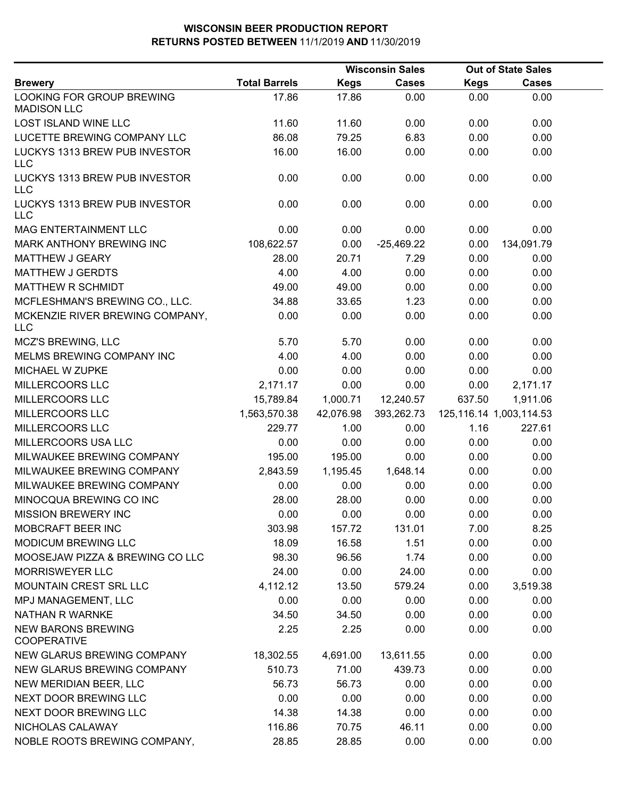|                                                 | <b>Wisconsin Sales</b> |             |              |             | <b>Out of State Sales</b>    |  |
|-------------------------------------------------|------------------------|-------------|--------------|-------------|------------------------------|--|
| <b>Brewery</b>                                  | <b>Total Barrels</b>   | <b>Kegs</b> | <b>Cases</b> | <b>Kegs</b> | <b>Cases</b>                 |  |
| LOOKING FOR GROUP BREWING<br><b>MADISON LLC</b> | 17.86                  | 17.86       | 0.00         | 0.00        | 0.00                         |  |
| LOST ISLAND WINE LLC                            | 11.60                  | 11.60       | 0.00         | 0.00        | 0.00                         |  |
| LUCETTE BREWING COMPANY LLC                     | 86.08                  | 79.25       | 6.83         | 0.00        | 0.00                         |  |
| LUCKYS 1313 BREW PUB INVESTOR<br><b>LLC</b>     | 16.00                  | 16.00       | 0.00         | 0.00        | 0.00                         |  |
| LUCKYS 1313 BREW PUB INVESTOR<br><b>LLC</b>     | 0.00                   | 0.00        | 0.00         | 0.00        | 0.00                         |  |
| LUCKYS 1313 BREW PUB INVESTOR<br><b>LLC</b>     | 0.00                   | 0.00        | 0.00         | 0.00        | 0.00                         |  |
| MAG ENTERTAINMENT LLC                           | 0.00                   | 0.00        | 0.00         | 0.00        | 0.00                         |  |
| MARK ANTHONY BREWING INC                        | 108,622.57             | 0.00        | $-25,469.22$ | 0.00        | 134,091.79                   |  |
| MATTHEW J GEARY                                 | 28.00                  | 20.71       | 7.29         | 0.00        | 0.00                         |  |
| <b>MATTHEW J GERDTS</b>                         | 4.00                   | 4.00        | 0.00         | 0.00        | 0.00                         |  |
| MATTHEW R SCHMIDT                               | 49.00                  | 49.00       | 0.00         | 0.00        | 0.00                         |  |
| MCFLESHMAN'S BREWING CO., LLC.                  | 34.88                  | 33.65       | 1.23         | 0.00        | 0.00                         |  |
| MCKENZIE RIVER BREWING COMPANY,<br><b>LLC</b>   | 0.00                   | 0.00        | 0.00         | 0.00        | 0.00                         |  |
| MCZ'S BREWING, LLC                              | 5.70                   | 5.70        | 0.00         | 0.00        | 0.00                         |  |
| MELMS BREWING COMPANY INC                       | 4.00                   | 4.00        | 0.00         | 0.00        | 0.00                         |  |
| MICHAEL W ZUPKE                                 | 0.00                   | 0.00        | 0.00         | 0.00        | 0.00                         |  |
| MILLERCOORS LLC                                 | 2,171.17               | 0.00        | 0.00         | 0.00        | 2,171.17                     |  |
| MILLERCOORS LLC                                 | 15,789.84              | 1,000.71    | 12,240.57    | 637.50      | 1,911.06                     |  |
| MILLERCOORS LLC                                 | 1,563,570.38           | 42,076.98   | 393,262.73   |             | 125, 116. 14 1, 003, 114. 53 |  |
| MILLERCOORS LLC                                 | 229.77                 | 1.00        | 0.00         | 1.16        | 227.61                       |  |
| MILLERCOORS USA LLC                             | 0.00                   | 0.00        | 0.00         | 0.00        | 0.00                         |  |
| MILWAUKEE BREWING COMPANY                       | 195.00                 | 195.00      | 0.00         | 0.00        | 0.00                         |  |
| MILWAUKEE BREWING COMPANY                       | 2,843.59               | 1,195.45    | 1,648.14     | 0.00        | 0.00                         |  |
| MILWAUKEE BREWING COMPANY                       | 0.00                   | 0.00        | 0.00         | 0.00        | 0.00                         |  |
| MINOCQUA BREWING CO INC                         | 28.00                  | 28.00       | 0.00         | 0.00        | 0.00                         |  |
| MISSION BREWERY INC                             | 0.00                   | 0.00        | 0.00         | 0.00        | 0.00                         |  |
| MOBCRAFT BEER INC                               | 303.98                 | 157.72      | 131.01       | 7.00        | 8.25                         |  |
| MODICUM BREWING LLC                             | 18.09                  | 16.58       | 1.51         | 0.00        | 0.00                         |  |
| MOOSEJAW PIZZA & BREWING CO LLC                 | 98.30                  | 96.56       | 1.74         | 0.00        | 0.00                         |  |
| <b>MORRISWEYER LLC</b>                          | 24.00                  | 0.00        | 24.00        | 0.00        | 0.00                         |  |
| MOUNTAIN CREST SRL LLC                          | 4,112.12               | 13.50       | 579.24       | 0.00        | 3,519.38                     |  |
| MPJ MANAGEMENT, LLC                             | 0.00                   | 0.00        | 0.00         | 0.00        | 0.00                         |  |
| NATHAN R WARNKE                                 | 34.50                  | 34.50       | 0.00         | 0.00        | 0.00                         |  |
| <b>NEW BARONS BREWING</b><br><b>COOPERATIVE</b> | 2.25                   | 2.25        | 0.00         | 0.00        | 0.00                         |  |
| NEW GLARUS BREWING COMPANY                      | 18,302.55              | 4,691.00    | 13,611.55    | 0.00        | 0.00                         |  |
| NEW GLARUS BREWING COMPANY                      | 510.73                 | 71.00       | 439.73       | 0.00        | 0.00                         |  |
| NEW MERIDIAN BEER, LLC                          | 56.73                  | 56.73       | 0.00         | 0.00        | 0.00                         |  |
| NEXT DOOR BREWING LLC                           | 0.00                   | 0.00        | 0.00         | 0.00        | 0.00                         |  |
| NEXT DOOR BREWING LLC                           | 14.38                  | 14.38       | 0.00         | 0.00        | 0.00                         |  |
| NICHOLAS CALAWAY                                | 116.86                 | 70.75       | 46.11        | 0.00        | 0.00                         |  |
| NOBLE ROOTS BREWING COMPANY,                    | 28.85                  | 28.85       | 0.00         | 0.00        | 0.00                         |  |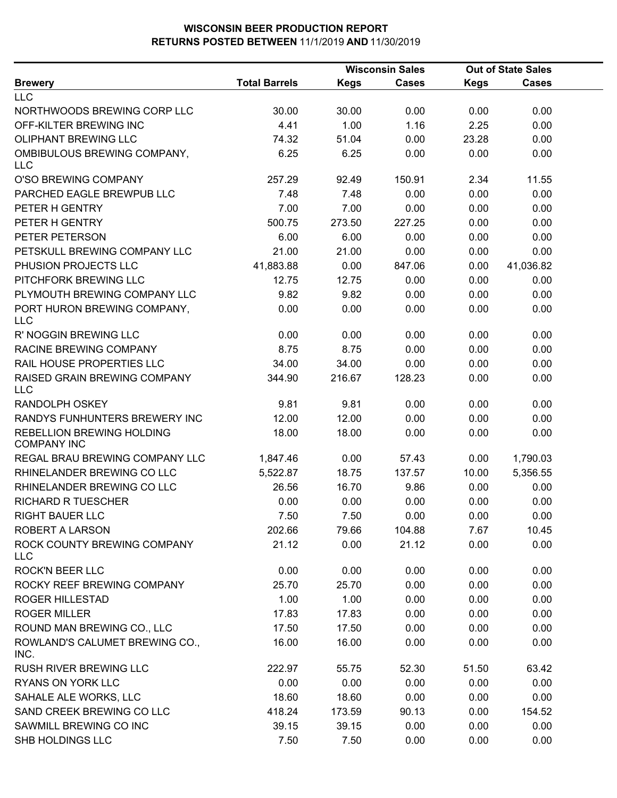|                                                        |                      |             | <b>Wisconsin Sales</b> | <b>Out of State Sales</b> |              |  |
|--------------------------------------------------------|----------------------|-------------|------------------------|---------------------------|--------------|--|
| <b>Brewery</b>                                         | <b>Total Barrels</b> | <b>Kegs</b> | <b>Cases</b>           | <b>Kegs</b>               | <b>Cases</b> |  |
| <b>LLC</b>                                             |                      |             |                        |                           |              |  |
| NORTHWOODS BREWING CORP LLC                            | 30.00                | 30.00       | 0.00                   | 0.00                      | 0.00         |  |
| OFF-KILTER BREWING INC                                 | 4.41                 | 1.00        | 1.16                   | 2.25                      | 0.00         |  |
| <b>OLIPHANT BREWING LLC</b>                            | 74.32                | 51.04       | 0.00                   | 23.28                     | 0.00         |  |
| OMBIBULOUS BREWING COMPANY,<br><b>LLC</b>              | 6.25                 | 6.25        | 0.00                   | 0.00                      | 0.00         |  |
| O'SO BREWING COMPANY                                   | 257.29               | 92.49       | 150.91                 | 2.34                      | 11.55        |  |
| PARCHED EAGLE BREWPUB LLC                              | 7.48                 | 7.48        | 0.00                   | 0.00                      | 0.00         |  |
| PETER H GENTRY                                         | 7.00                 | 7.00        | 0.00                   | 0.00                      | 0.00         |  |
| PETER H GENTRY                                         | 500.75               | 273.50      | 227.25                 | 0.00                      | 0.00         |  |
| PETER PETERSON                                         | 6.00                 | 6.00        | 0.00                   | 0.00                      | 0.00         |  |
| PETSKULL BREWING COMPANY LLC                           | 21.00                | 21.00       | 0.00                   | 0.00                      | 0.00         |  |
| PHUSION PROJECTS LLC                                   | 41,883.88            | 0.00        | 847.06                 | 0.00                      | 41,036.82    |  |
| PITCHFORK BREWING LLC                                  | 12.75                | 12.75       | 0.00                   | 0.00                      | 0.00         |  |
| PLYMOUTH BREWING COMPANY LLC                           | 9.82                 | 9.82        | 0.00                   | 0.00                      | 0.00         |  |
| PORT HURON BREWING COMPANY,<br><b>LLC</b>              | 0.00                 | 0.00        | 0.00                   | 0.00                      | 0.00         |  |
| R' NOGGIN BREWING LLC                                  | 0.00                 | 0.00        | 0.00                   | 0.00                      | 0.00         |  |
| RACINE BREWING COMPANY                                 | 8.75                 | 8.75        | 0.00                   | 0.00                      | 0.00         |  |
| RAIL HOUSE PROPERTIES LLC                              | 34.00                | 34.00       | 0.00                   | 0.00                      | 0.00         |  |
| RAISED GRAIN BREWING COMPANY<br><b>LLC</b>             | 344.90               | 216.67      | 128.23                 | 0.00                      | 0.00         |  |
| RANDOLPH OSKEY                                         | 9.81                 | 9.81        | 0.00                   | 0.00                      | 0.00         |  |
| RANDYS FUNHUNTERS BREWERY INC                          | 12.00                | 12.00       | 0.00                   | 0.00                      | 0.00         |  |
| <b>REBELLION BREWING HOLDING</b><br><b>COMPANY INC</b> | 18.00                | 18.00       | 0.00                   | 0.00                      | 0.00         |  |
| REGAL BRAU BREWING COMPANY LLC                         | 1,847.46             | 0.00        | 57.43                  | 0.00                      | 1,790.03     |  |
| RHINELANDER BREWING CO LLC                             | 5,522.87             | 18.75       | 137.57                 | 10.00                     | 5,356.55     |  |
| RHINELANDER BREWING CO LLC                             | 26.56                | 16.70       | 9.86                   | 0.00                      | 0.00         |  |
| <b>RICHARD R TUESCHER</b>                              | 0.00                 | 0.00        | 0.00                   | 0.00                      | 0.00         |  |
| <b>RIGHT BAUER LLC</b>                                 | 7.50                 | 7.50        | 0.00                   | 0.00                      | 0.00         |  |
| <b>ROBERT A LARSON</b>                                 | 202.66               | 79.66       | 104.88                 | 7.67                      | 10.45        |  |
| ROCK COUNTY BREWING COMPANY<br><b>LLC</b>              | 21.12                | 0.00        | 21.12                  | 0.00                      | 0.00         |  |
| <b>ROCK'N BEER LLC</b>                                 | 0.00                 | 0.00        | 0.00                   | 0.00                      | 0.00         |  |
| ROCKY REEF BREWING COMPANY                             | 25.70                | 25.70       | 0.00                   | 0.00                      | 0.00         |  |
| <b>ROGER HILLESTAD</b>                                 | 1.00                 | 1.00        | 0.00                   | 0.00                      | 0.00         |  |
| <b>ROGER MILLER</b>                                    | 17.83                | 17.83       | 0.00                   | 0.00                      | 0.00         |  |
| ROUND MAN BREWING CO., LLC                             | 17.50                | 17.50       | 0.00                   | 0.00                      | 0.00         |  |
| ROWLAND'S CALUMET BREWING CO.,<br>INC.                 | 16.00                | 16.00       | 0.00                   | 0.00                      | 0.00         |  |
| RUSH RIVER BREWING LLC                                 | 222.97               | 55.75       | 52.30                  | 51.50                     | 63.42        |  |
| RYANS ON YORK LLC                                      | 0.00                 | 0.00        | 0.00                   | 0.00                      | 0.00         |  |
| SAHALE ALE WORKS, LLC                                  | 18.60                | 18.60       | 0.00                   | 0.00                      | 0.00         |  |
| SAND CREEK BREWING CO LLC                              | 418.24               | 173.59      | 90.13                  | 0.00                      | 154.52       |  |
| SAWMILL BREWING CO INC                                 | 39.15                | 39.15       | 0.00                   | 0.00                      | 0.00         |  |
| SHB HOLDINGS LLC                                       | 7.50                 | 7.50        | 0.00                   | 0.00                      | 0.00         |  |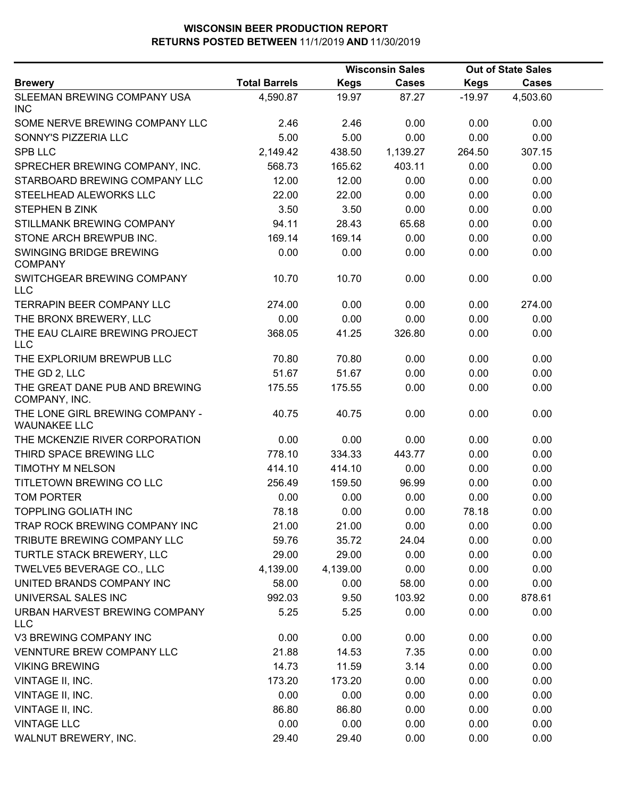|                                                        |                      | <b>Wisconsin Sales</b> |              | <b>Out of State Sales</b> |              |  |
|--------------------------------------------------------|----------------------|------------------------|--------------|---------------------------|--------------|--|
| <b>Brewery</b>                                         | <b>Total Barrels</b> | <b>Kegs</b>            | <b>Cases</b> | <b>Kegs</b>               | <b>Cases</b> |  |
| SLEEMAN BREWING COMPANY USA<br><b>INC</b>              | 4,590.87             | 19.97                  | 87.27        | $-19.97$                  | 4,503.60     |  |
| SOME NERVE BREWING COMPANY LLC                         | 2.46                 | 2.46                   | 0.00         | 0.00                      | 0.00         |  |
| SONNY'S PIZZERIA LLC                                   | 5.00                 | 5.00                   | 0.00         | 0.00                      | 0.00         |  |
| <b>SPB LLC</b>                                         | 2,149.42             | 438.50                 | 1,139.27     | 264.50                    | 307.15       |  |
| SPRECHER BREWING COMPANY, INC.                         | 568.73               | 165.62                 | 403.11       | 0.00                      | 0.00         |  |
| STARBOARD BREWING COMPANY LLC                          | 12.00                | 12.00                  | 0.00         | 0.00                      | 0.00         |  |
| STEELHEAD ALEWORKS LLC                                 | 22.00                | 22.00                  | 0.00         | 0.00                      | 0.00         |  |
| <b>STEPHEN B ZINK</b>                                  | 3.50                 | 3.50                   | 0.00         | 0.00                      | 0.00         |  |
| STILLMANK BREWING COMPANY                              | 94.11                | 28.43                  | 65.68        | 0.00                      | 0.00         |  |
| STONE ARCH BREWPUB INC.                                | 169.14               | 169.14                 | 0.00         | 0.00                      | 0.00         |  |
| SWINGING BRIDGE BREWING<br><b>COMPANY</b>              | 0.00                 | 0.00                   | 0.00         | 0.00                      | 0.00         |  |
| SWITCHGEAR BREWING COMPANY<br><b>LLC</b>               | 10.70                | 10.70                  | 0.00         | 0.00                      | 0.00         |  |
| <b>TERRAPIN BEER COMPANY LLC</b>                       | 274.00               | 0.00                   | 0.00         | 0.00                      | 274.00       |  |
| THE BRONX BREWERY, LLC                                 | 0.00                 | 0.00                   | 0.00         | 0.00                      | 0.00         |  |
| THE EAU CLAIRE BREWING PROJECT<br><b>LLC</b>           | 368.05               | 41.25                  | 326.80       | 0.00                      | 0.00         |  |
| THE EXPLORIUM BREWPUB LLC                              | 70.80                | 70.80                  | 0.00         | 0.00                      | 0.00         |  |
| THE GD 2, LLC                                          | 51.67                | 51.67                  | 0.00         | 0.00                      | 0.00         |  |
| THE GREAT DANE PUB AND BREWING<br>COMPANY, INC.        | 175.55               | 175.55                 | 0.00         | 0.00                      | 0.00         |  |
| THE LONE GIRL BREWING COMPANY -<br><b>WAUNAKEE LLC</b> | 40.75                | 40.75                  | 0.00         | 0.00                      | 0.00         |  |
| THE MCKENZIE RIVER CORPORATION                         | 0.00                 | 0.00                   | 0.00         | 0.00                      | 0.00         |  |
| THIRD SPACE BREWING LLC                                | 778.10               | 334.33                 | 443.77       | 0.00                      | 0.00         |  |
| TIMOTHY M NELSON                                       | 414.10               | 414.10                 | 0.00         | 0.00                      | 0.00         |  |
| TITLETOWN BREWING CO LLC                               | 256.49               | 159.50                 | 96.99        | 0.00                      | 0.00         |  |
| <b>TOM PORTER</b>                                      | 0.00                 | 0.00                   | 0.00         | 0.00                      | 0.00         |  |
| <b>TOPPLING GOLIATH INC</b>                            | 78.18                | 0.00                   | 0.00         | 78.18                     | 0.00         |  |
| TRAP ROCK BREWING COMPANY INC                          | 21.00                | 21.00                  | 0.00         | 0.00                      | 0.00         |  |
| TRIBUTE BREWING COMPANY LLC                            | 59.76                | 35.72                  | 24.04        | 0.00                      | 0.00         |  |
| TURTLE STACK BREWERY, LLC                              | 29.00                | 29.00                  | 0.00         | 0.00                      | 0.00         |  |
| TWELVE5 BEVERAGE CO., LLC                              | 4,139.00             | 4,139.00               | 0.00         | 0.00                      | 0.00         |  |
| UNITED BRANDS COMPANY INC                              | 58.00                | 0.00                   | 58.00        | 0.00                      | 0.00         |  |
| UNIVERSAL SALES INC                                    | 992.03               | 9.50                   | 103.92       | 0.00                      | 878.61       |  |
| URBAN HARVEST BREWING COMPANY<br><b>LLC</b>            | 5.25                 | 5.25                   | 0.00         | 0.00                      | 0.00         |  |
| V3 BREWING COMPANY INC                                 | 0.00                 | 0.00                   | 0.00         | 0.00                      | 0.00         |  |
| VENNTURE BREW COMPANY LLC                              | 21.88                | 14.53                  | 7.35         | 0.00                      | 0.00         |  |
| <b>VIKING BREWING</b>                                  | 14.73                | 11.59                  | 3.14         | 0.00                      | 0.00         |  |
| VINTAGE II, INC.                                       | 173.20               | 173.20                 | 0.00         | 0.00                      | 0.00         |  |
| VINTAGE II, INC.                                       | 0.00                 | 0.00                   | 0.00         | 0.00                      | 0.00         |  |
| VINTAGE II, INC.                                       | 86.80                | 86.80                  | 0.00         | 0.00                      | 0.00         |  |
| <b>VINTAGE LLC</b>                                     | 0.00                 | 0.00                   | 0.00         | 0.00                      | 0.00         |  |
| WALNUT BREWERY, INC.                                   | 29.40                | 29.40                  | 0.00         | 0.00                      | 0.00         |  |